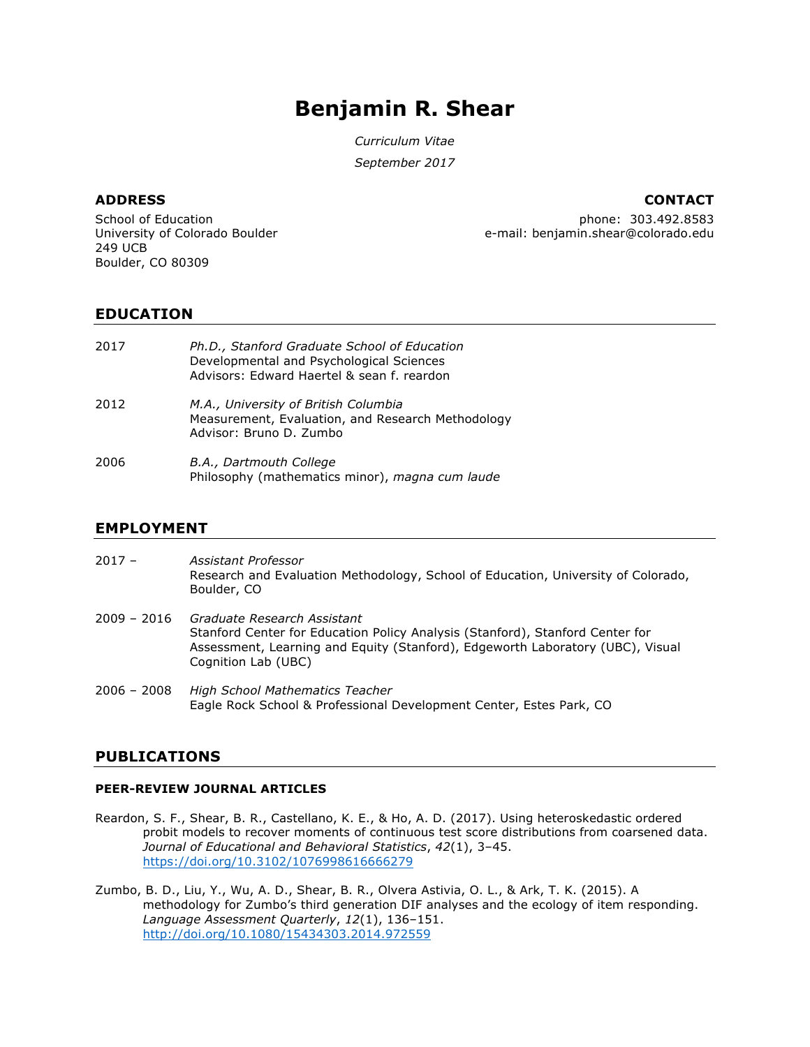# **Benjamin R. Shear**

*Curriculum Vitae*

*September 2017*

# **ADDRESS CONTACT**

School of Education University of Colorado Boulder 249 UCB Boulder, CO 80309

phone: 303.492.8583 e-mail: benjamin.shear@colorado.edu

# **EDUCATION**

| 2017 | Ph.D., Stanford Graduate School of Education<br>Developmental and Psychological Sciences<br>Advisors: Edward Haertel & sean f. reardon |
|------|----------------------------------------------------------------------------------------------------------------------------------------|
| 2012 | M.A., University of British Columbia<br>Measurement, Evaluation, and Research Methodology<br>Advisor: Bruno D. Zumbo                   |
| 2006 | B.A., Dartmouth College<br>Philosophy (mathematics minor), magna cum laude                                                             |

# **EMPLOYMENT**

- 2017 *Assistant Professor* Research and Evaluation Methodology, School of Education, University of Colorado, Boulder, CO
- 2009 2016 *Graduate Research Assistant* Stanford Center for Education Policy Analysis (Stanford), Stanford Center for Assessment, Learning and Equity (Stanford), Edgeworth Laboratory (UBC), Visual Cognition Lab (UBC)
- 2006 2008 *High School Mathematics Teacher* Eagle Rock School & Professional Development Center, Estes Park, CO

# **PUBLICATIONS**

## **PEER-REVIEW JOURNAL ARTICLES**

- Reardon, S. F., Shear, B. R., Castellano, K. E., & Ho, A. D. (2017). Using heteroskedastic ordered probit models to recover moments of continuous test score distributions from coarsened data. *Journal of Educational and Behavioral Statistics*, *42*(1), 3–45. https://doi.org/10.3102/1076998616666279
- Zumbo, B. D., Liu, Y., Wu, A. D., Shear, B. R., Olvera Astivia, O. L., & Ark, T. K. (2015). A methodology for Zumbo's third generation DIF analyses and the ecology of item responding. *Language Assessment Quarterly*, *12*(1), 136–151. http://doi.org/10.1080/15434303.2014.972559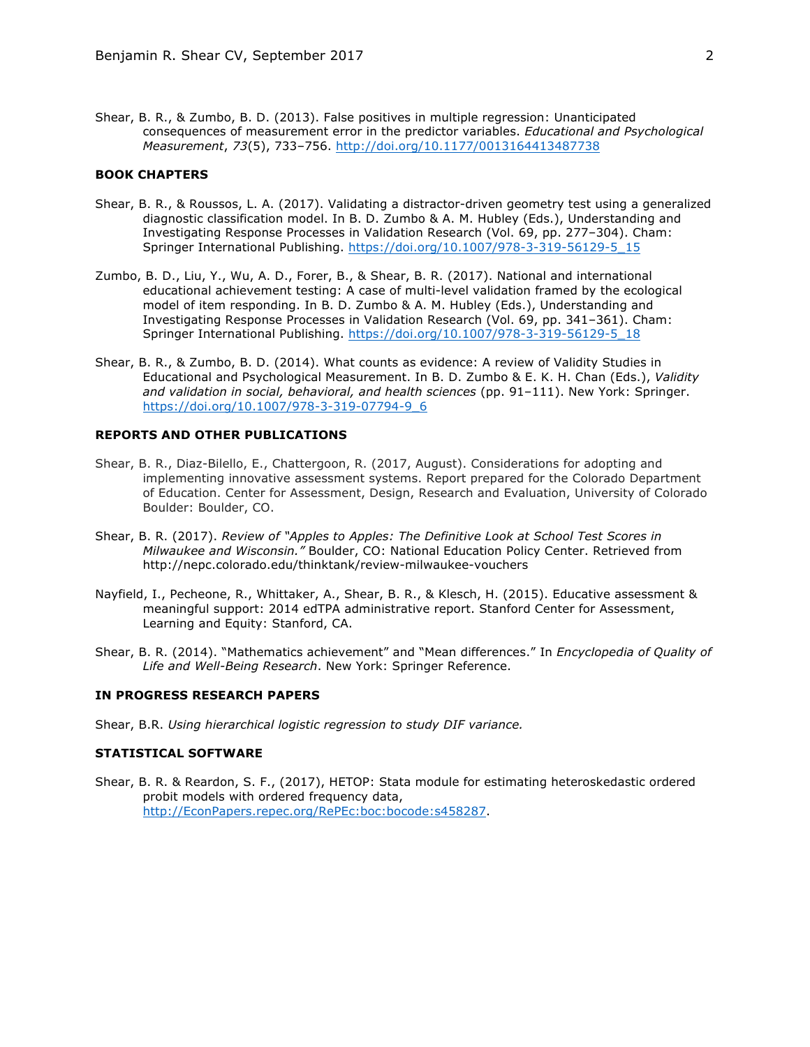Shear, B. R., & Zumbo, B. D. (2013). False positives in multiple regression: Unanticipated consequences of measurement error in the predictor variables. *Educational and Psychological Measurement*, *73*(5), 733–756. http://doi.org/10.1177/0013164413487738

### **BOOK CHAPTERS**

- Shear, B. R., & Roussos, L. A. (2017). Validating a distractor-driven geometry test using a generalized diagnostic classification model. In B. D. Zumbo & A. M. Hubley (Eds.), Understanding and Investigating Response Processes in Validation Research (Vol. 69, pp. 277–304). Cham: Springer International Publishing. https://doi.org/10.1007/978-3-319-56129-5\_15
- Zumbo, B. D., Liu, Y., Wu, A. D., Forer, B., & Shear, B. R. (2017). National and international educational achievement testing: A case of multi-level validation framed by the ecological model of item responding. In B. D. Zumbo & A. M. Hubley (Eds.), Understanding and Investigating Response Processes in Validation Research (Vol. 69, pp. 341–361). Cham: Springer International Publishing. https://doi.org/10.1007/978-3-319-56129-5\_18
- Shear, B. R., & Zumbo, B. D. (2014). What counts as evidence: A review of Validity Studies in Educational and Psychological Measurement. In B. D. Zumbo & E. K. H. Chan (Eds.), *Validity and validation in social, behavioral, and health sciences* (pp. 91–111). New York: Springer. https://doi.org/10.1007/978-3-319-07794-9\_6

#### **REPORTS AND OTHER PUBLICATIONS**

- Shear, B. R., Diaz-Bilello, E., Chattergoon, R. (2017, August). Considerations for adopting and implementing innovative assessment systems. Report prepared for the Colorado Department of Education. Center for Assessment, Design, Research and Evaluation, University of Colorado Boulder: Boulder, CO.
- Shear, B. R. (2017). *Review of "Apples to Apples: The Definitive Look at School Test Scores in Milwaukee and Wisconsin."* Boulder, CO: National Education Policy Center. Retrieved from http://nepc.colorado.edu/thinktank/review-milwaukee-vouchers
- Nayfield, I., Pecheone, R., Whittaker, A., Shear, B. R., & Klesch, H. (2015). Educative assessment & meaningful support: 2014 edTPA administrative report. Stanford Center for Assessment, Learning and Equity: Stanford, CA.
- Shear, B. R. (2014). "Mathematics achievement" and "Mean differences." In *Encyclopedia of Quality of Life and Well-Being Research*. New York: Springer Reference.

#### **IN PROGRESS RESEARCH PAPERS**

Shear, B.R. *Using hierarchical logistic regression to study DIF variance.*

#### **STATISTICAL SOFTWARE**

Shear, B. R. & Reardon, S. F., (2017), HETOP: Stata module for estimating heteroskedastic ordered probit models with ordered frequency data, http://EconPapers.repec.org/RePEc:boc:bocode:s458287.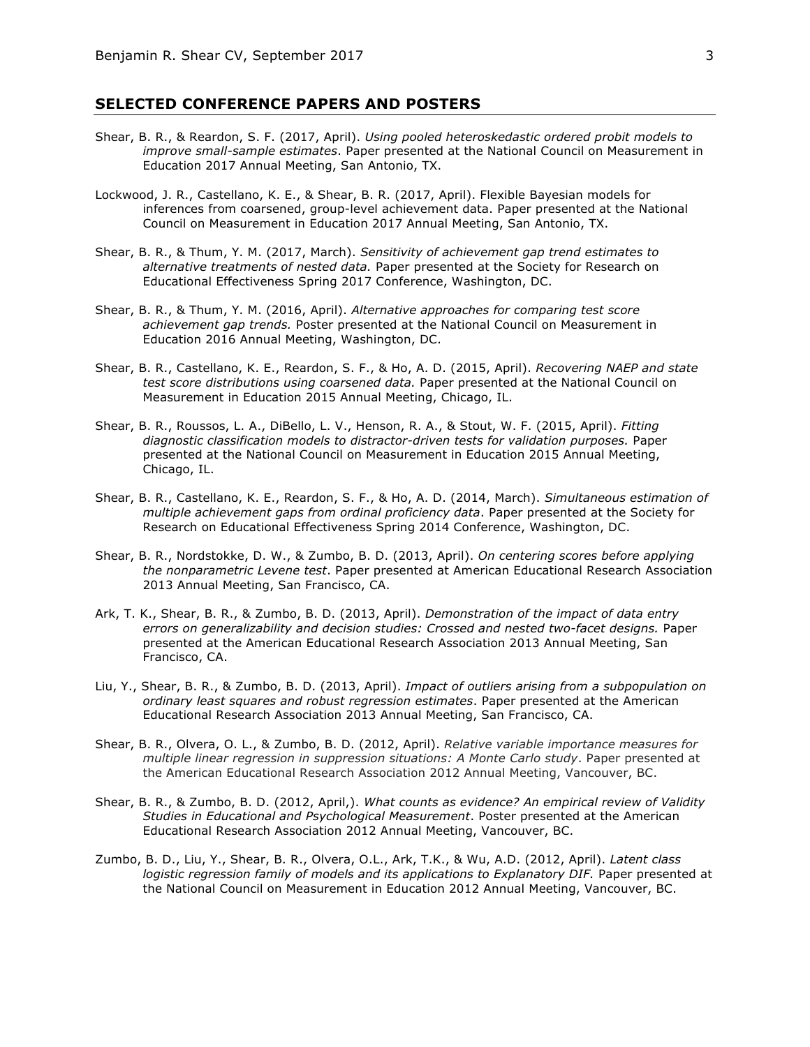# **SELECTED CONFERENCE PAPERS AND POSTERS**

- Shear, B. R., & Reardon, S. F. (2017, April). *Using pooled heteroskedastic ordered probit models to improve small-sample estimates*. Paper presented at the National Council on Measurement in Education 2017 Annual Meeting, San Antonio, TX.
- Lockwood, J. R., Castellano, K. E., & Shear, B. R. (2017, April). Flexible Bayesian models for inferences from coarsened, group-level achievement data. Paper presented at the National Council on Measurement in Education 2017 Annual Meeting, San Antonio, TX.
- Shear, B. R., & Thum, Y. M. (2017, March). *Sensitivity of achievement gap trend estimates to alternative treatments of nested data.* Paper presented at the Society for Research on Educational Effectiveness Spring 2017 Conference, Washington, DC.
- Shear, B. R., & Thum, Y. M. (2016, April). *Alternative approaches for comparing test score achievement gap trends.* Poster presented at the National Council on Measurement in Education 2016 Annual Meeting, Washington, DC.
- Shear, B. R., Castellano, K. E., Reardon, S. F., & Ho, A. D. (2015, April). *Recovering NAEP and state test score distributions using coarsened data.* Paper presented at the National Council on Measurement in Education 2015 Annual Meeting, Chicago, IL.
- Shear, B. R., Roussos, L. A., DiBello, L. V., Henson, R. A., & Stout, W. F. (2015, April). *Fitting diagnostic classification models to distractor-driven tests for validation purposes.* Paper presented at the National Council on Measurement in Education 2015 Annual Meeting, Chicago, IL.
- Shear, B. R., Castellano, K. E., Reardon, S. F., & Ho, A. D. (2014, March). *Simultaneous estimation of multiple achievement gaps from ordinal proficiency data*. Paper presented at the Society for Research on Educational Effectiveness Spring 2014 Conference, Washington, DC.
- Shear, B. R., Nordstokke, D. W., & Zumbo, B. D. (2013, April). *On centering scores before applying the nonparametric Levene test*. Paper presented at American Educational Research Association 2013 Annual Meeting, San Francisco, CA.
- Ark, T. K., Shear, B. R., & Zumbo, B. D. (2013, April). *Demonstration of the impact of data entry errors on generalizability and decision studies: Crossed and nested two-facet designs.* Paper presented at the American Educational Research Association 2013 Annual Meeting, San Francisco, CA.
- Liu, Y., Shear, B. R., & Zumbo, B. D. (2013, April). *Impact of outliers arising from a subpopulation on ordinary least squares and robust regression estimates*. Paper presented at the American Educational Research Association 2013 Annual Meeting, San Francisco, CA.
- Shear, B. R., Olvera, O. L., & Zumbo, B. D. (2012, April). *Relative variable importance measures for multiple linear regression in suppression situations: A Monte Carlo study*. Paper presented at the American Educational Research Association 2012 Annual Meeting, Vancouver, BC.
- Shear, B. R., & Zumbo, B. D. (2012, April,). *What counts as evidence? An empirical review of Validity Studies in Educational and Psychological Measurement*. Poster presented at the American Educational Research Association 2012 Annual Meeting, Vancouver, BC.
- Zumbo, B. D., Liu, Y., Shear, B. R., Olvera, O.L., Ark, T.K., & Wu, A.D. (2012, April). *Latent class logistic regression family of models and its applications to Explanatory DIF.* Paper presented at the National Council on Measurement in Education 2012 Annual Meeting, Vancouver, BC.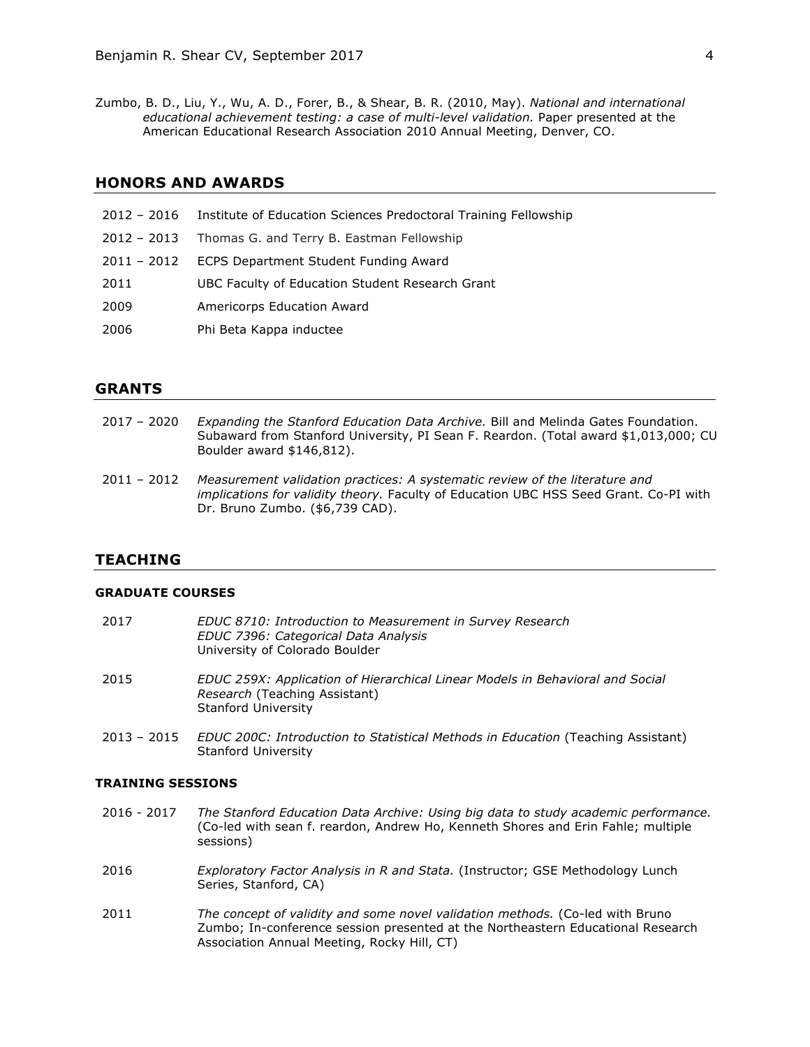Zumbo, B. D., Liu, Y., Wu, A. D., Forer, B., & Shear, B. R. (2010, May). *National and international educational achievement testing: a case of multi-level validation.* Paper presented at the American Educational Research Association 2010 Annual Meeting, Denver, CO.

# **HONORS AND AWARDS**

|               | 2012 - 2016 Institute of Education Sciences Predoctoral Training Fellowship |
|---------------|-----------------------------------------------------------------------------|
| $2012 - 2013$ | Thomas G. and Terry B. Eastman Fellowship                                   |
| 2011 - 2012   | <b>ECPS Department Student Funding Award</b>                                |
| 2011          | UBC Faculty of Education Student Research Grant                             |
| 2009          | Americorps Education Award                                                  |
| 2006          | Phi Beta Kappa inductee                                                     |

#### **GRANTS**

- 2017 2020 *Expanding the Stanford Education Data Archive.* Bill and Melinda Gates Foundation. Subaward from Stanford University, PI Sean F. Reardon. (Total award \$1,013,000; CU Boulder award \$146,812).
- 2011 2012 *Measurement validation practices: A systematic review of the literature and implications for validity theory.* Faculty of Education UBC HSS Seed Grant. Co-PI with Dr. Bruno Zumbo. (\$6,739 CAD).

# **TEACHING**

#### **GRADUATE COURSES**

| 2017 | EDUC 8710: Introduction to Measurement in Survey Research<br>EDUC 7396: Categorical Data Analysis<br>University of Colorado Boulder   |
|------|---------------------------------------------------------------------------------------------------------------------------------------|
| 2015 | EDUC 259X: Application of Hierarchical Linear Models in Behavioral and Social<br>Research (Teaching Assistant)<br>Stanford University |

2013 – 2015 *EDUC 200C: Introduction to Statistical Methods in Education* (Teaching Assistant) Stanford University

#### **TRAINING SESSIONS**

- 2016 2017 *The Stanford Education Data Archive: Using big data to study academic performance.*  (Co-led with sean f. reardon, Andrew Ho, Kenneth Shores and Erin Fahle; multiple sessions)
- 2016 *Exploratory Factor Analysis in R and Stata.* (Instructor; GSE Methodology Lunch Series, Stanford, CA)
- 2011 *The concept of validity and some novel validation methods.* (Co-led with Bruno Zumbo; In-conference session presented at the Northeastern Educational Research Association Annual Meeting, Rocky Hill, CT)